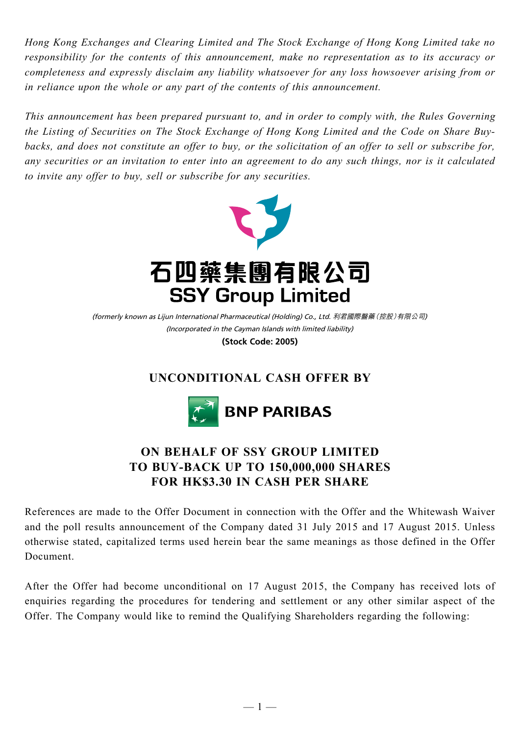*Hong Kong Exchanges and Clearing Limited and The Stock Exchange of Hong Kong Limited take no responsibility for the contents of this announcement, make no representation as to its accuracy or completeness and expressly disclaim any liability whatsoever for any loss howsoever arising from or in reliance upon the whole or any part of the contents of this announcement.*

*This announcement has been prepared pursuant to, and in order to comply with, the Rules Governing the Listing of Securities on The Stock Exchange of Hong Kong Limited and the Code on Share Buybacks, and does not constitute an offer to buy, or the solicitation of an offer to sell or subscribe for, any securities or an invitation to enter into an agreement to do any such things, nor is it calculated to invite any offer to buy, sell or subscribe for any securities.*



(Incorporated in the Cayman Islands with limited liability) (formerly known as Lijun International Pharmaceutical (Holding) Co., Ltd. 利君國際醫藥(控股)有限公司)

**(Stock Code: 2005)**

## **UNCONDITIONAL CASH OFFER BY**



## **ON BEHALF OF SSY GROUP LIMITED TO BUY-BACK UP TO 150,000,000 SHARES FOR HK\$3.30 IN CASH PER SHARE**

References are made to the Offer Document in connection with the Offer and the Whitewash Waiver and the poll results announcement of the Company dated 31 July 2015 and 17 August 2015. Unless otherwise stated, capitalized terms used herein bear the same meanings as those defined in the Offer Document.

After the Offer had become unconditional on 17 August 2015, the Company has received lots of enquiries regarding the procedures for tendering and settlement or any other similar aspect of the Offer. The Company would like to remind the Qualifying Shareholders regarding the following: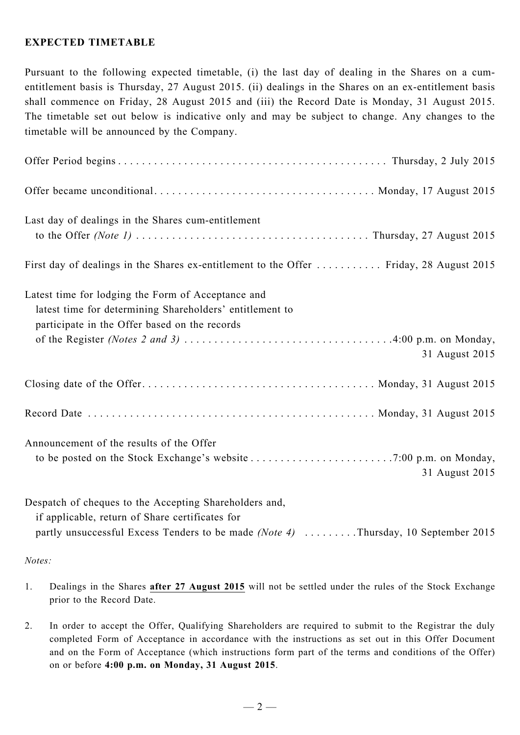## **EXPECTED TIMETABLE**

Pursuant to the following expected timetable, (i) the last day of dealing in the Shares on a cumentitlement basis is Thursday, 27 August 2015. (ii) dealings in the Shares on an ex-entitlement basis shall commence on Friday, 28 August 2015 and (iii) the Record Date is Monday, 31 August 2015. The timetable set out below is indicative only and may be subject to change. Any changes to the timetable will be announced by the Company.

| Last day of dealings in the Shares cum-entitlement                                                                                                              |
|-----------------------------------------------------------------------------------------------------------------------------------------------------------------|
| First day of dealings in the Shares ex-entitlement to the Offer  Friday, 28 August 2015                                                                         |
| Latest time for lodging the Form of Acceptance and<br>latest time for determining Shareholders' entitlement to<br>participate in the Offer based on the records |
| 31 August 2015                                                                                                                                                  |
|                                                                                                                                                                 |
|                                                                                                                                                                 |
| Announcement of the results of the Offer<br>31 August 2015                                                                                                      |
| Despatch of cheques to the Accepting Shareholders and,<br>if applicable, return of Share certificates for                                                       |

partly unsuccessful Excess Tenders to be made *(Note 4)* . . . . . . . . . Thursday, 10 September 2015

*Notes:*

- 1. Dealings in the Shares **after 27 August 2015** will not be settled under the rules of the Stock Exchange prior to the Record Date.
- 2. In order to accept the Offer, Qualifying Shareholders are required to submit to the Registrar the duly completed Form of Acceptance in accordance with the instructions as set out in this Offer Document and on the Form of Acceptance (which instructions form part of the terms and conditions of the Offer) on or before **4:00 p.m. on Monday, 31 August 2015**.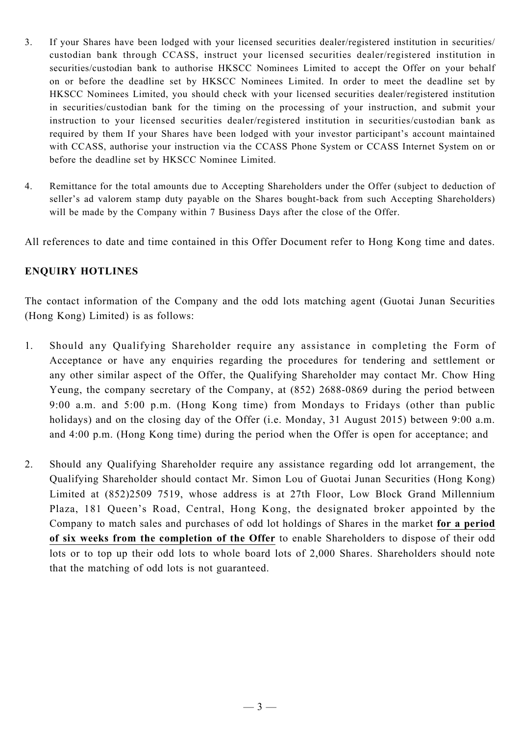- 3. If your Shares have been lodged with your licensed securities dealer/registered institution in securities/ custodian bank through CCASS, instruct your licensed securities dealer/registered institution in securities/custodian bank to authorise HKSCC Nominees Limited to accept the Offer on your behalf on or before the deadline set by HKSCC Nominees Limited. In order to meet the deadline set by HKSCC Nominees Limited, you should check with your licensed securities dealer/registered institution in securities/custodian bank for the timing on the processing of your instruction, and submit your instruction to your licensed securities dealer/registered institution in securities/custodian bank as required by them If your Shares have been lodged with your investor participant's account maintained with CCASS, authorise your instruction via the CCASS Phone System or CCASS Internet System on or before the deadline set by HKSCC Nominee Limited.
- 4. Remittance for the total amounts due to Accepting Shareholders under the Offer (subject to deduction of seller's ad valorem stamp duty payable on the Shares bought-back from such Accepting Shareholders) will be made by the Company within 7 Business Days after the close of the Offer.

All references to date and time contained in this Offer Document refer to Hong Kong time and dates.

## **ENQUIRY HOTLINES**

The contact information of the Company and the odd lots matching agent (Guotai Junan Securities (Hong Kong) Limited) is as follows:

- 1. Should any Qualifying Shareholder require any assistance in completing the Form of Acceptance or have any enquiries regarding the procedures for tendering and settlement or any other similar aspect of the Offer, the Qualifying Shareholder may contact Mr. Chow Hing Yeung, the company secretary of the Company, at (852) 2688-0869 during the period between 9:00 a.m. and 5:00 p.m. (Hong Kong time) from Mondays to Fridays (other than public holidays) and on the closing day of the Offer (i.e. Monday, 31 August 2015) between 9:00 a.m. and 4:00 p.m. (Hong Kong time) during the period when the Offer is open for acceptance; and
- 2. Should any Qualifying Shareholder require any assistance regarding odd lot arrangement, the Qualifying Shareholder should contact Mr. Simon Lou of Guotai Junan Securities (Hong Kong) Limited at (852)2509 7519, whose address is at 27th Floor, Low Block Grand Millennium Plaza, 181 Queen's Road, Central, Hong Kong, the designated broker appointed by the Company to match sales and purchases of odd lot holdings of Shares in the market **for a period of six weeks from the completion of the Offer** to enable Shareholders to dispose of their odd lots or to top up their odd lots to whole board lots of 2,000 Shares. Shareholders should note that the matching of odd lots is not guaranteed.